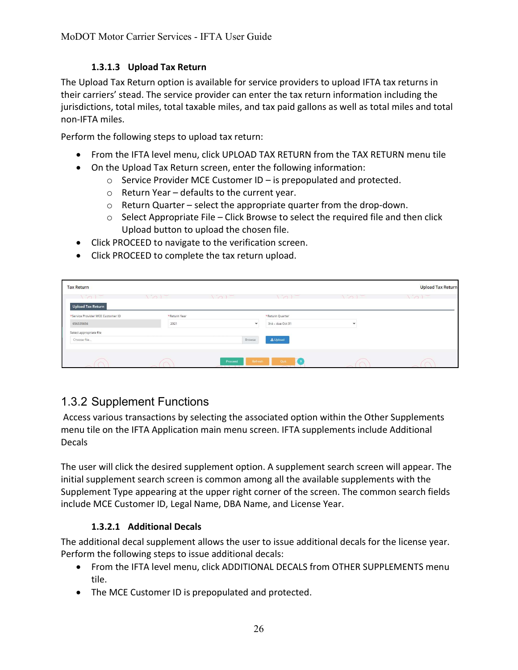## 1.3.1.3 Upload Tax Return

The Upload Tax Return option is available for service providers to upload IFTA tax returns in their carriers' stead. The service provider can enter the tax return information including the jurisdictions, total miles, total taxable miles, and tax paid gallons as well as total miles and total non-IFTA miles.

Perform the following steps to upload tax return:

- From the IFTA level menu, click UPLOAD TAX RETURN from the TAX RETURN menu tile
- On the Upload Tax Return screen, enter the following information:
	- $\circ$  Service Provider MCE Customer ID is prepopulated and protected.
	- o Return Year defaults to the current year.
	- o Return Quarter select the appropriate quarter from the drop-down.
	- $\circ$  Select Appropriate File Click Browse to select the required file and then click Upload button to upload the chosen file.
- Click PROCEED to navigate to the verification screen.
- Click PROCEED to complete the tax return upload.

| <b>Tax Return</b>                 |                  |                                         |                                  |                  | <b>Upload Tax Return</b> |
|-----------------------------------|------------------|-----------------------------------------|----------------------------------|------------------|--------------------------|
| 101                               | $\sum_{i=1}^{n}$ | $\sqrt{2}$                              | $\sqrt{2}$                       | $\sum_{i=1}^{n}$ | $\sum_{i=1}^{n}$         |
| Upload Tax Return                 |                  |                                         |                                  |                  |                          |
| *Service Provider MCE Customer ID | *Return Year     |                                         | *Return Quarter                  |                  |                          |
| 656335656                         | 2021             | $\check{ }$                             | 3rd - due Oct 31                 |                  |                          |
| Select appropriate file           |                  |                                         |                                  |                  |                          |
| Choose file                       |                  | Browse                                  | <b>1</b> Upload                  |                  |                          |
|                                   |                  |                                         |                                  |                  |                          |
|                                   |                  | Proceed<br>Refresh<br><b>STATISTICS</b> | Quit<br>$\overline{\phantom{a}}$ | 5                |                          |

## 1.3.2 Supplement Functions

 Access various transactions by selecting the associated option within the Other Supplements menu tile on the IFTA Application main menu screen. IFTA supplements include Additional Decals

The user will click the desired supplement option. A supplement search screen will appear. The initial supplement search screen is common among all the available supplements with the Supplement Type appearing at the upper right corner of the screen. The common search fields include MCE Customer ID, Legal Name, DBA Name, and License Year.

## 1.3.2.1 Additional Decals

The additional decal supplement allows the user to issue additional decals for the license year. Perform the following steps to issue additional decals:

- From the IFTA level menu, click ADDITIONAL DECALS from OTHER SUPPLEMENTS menu tile.
- The MCE Customer ID is prepopulated and protected.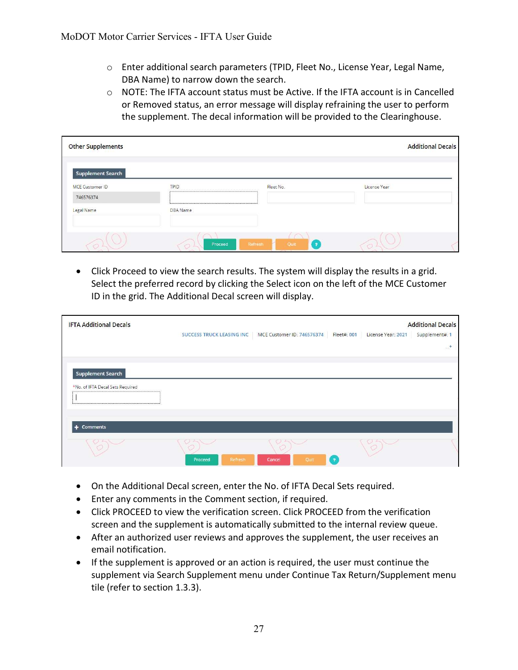- o Enter additional search parameters (TPID, Fleet No., License Year, Legal Name, DBA Name) to narrow down the search.
- $\circ$  NOTE: The IFTA account status must be Active. If the IFTA account is in Cancelled or Removed status, an error message will display refraining the user to perform the supplement. The decal information will be provided to the Clearinghouse.

| <b>Other Supplements</b> |                |                                                                               |              | <b>Additional Decals</b> |
|--------------------------|----------------|-------------------------------------------------------------------------------|--------------|--------------------------|
| <b>Supplement Search</b> |                |                                                                               |              |                          |
| <b>MCE Customer ID</b>   | TPID           | Fleet No.<br>THE REPORT OF THE REPORT OF THE REPORT OF THE REPORT OF THE REAL | License Year |                          |
| 746576374                |                |                                                                               |              |                          |
| Legal Name               | DBA Name       |                                                                               |              |                          |
|                          | Proceed<br>230 | $\cap$<br>Refresh<br>Quit<br>$\cdot$                                          |              |                          |

 Click Proceed to view the search results. The system will display the results in a grid. Select the preferred record by clicking the Select icon on the left of the MCE Customer ID in the grid. The Additional Decal screen will display.

| <b>IFTA Additional Decals</b>                                |                                  |                            |              |                    | <b>Additional Decals</b> |
|--------------------------------------------------------------|----------------------------------|----------------------------|--------------|--------------------|--------------------------|
|                                                              | <b>SUCCESS TRUCK LEASING INC</b> | MCE Customer ID: 746576374 | Fleet#: 001  | License Year: 2021 | Supplement#: 1           |
|                                                              |                                  |                            |              |                    | $\dots$ +                |
| <b>Supplement Search</b><br>*No. of IFTA Decal Sets Required |                                  |                            |              |                    |                          |
| + Comments                                                   |                                  |                            |              |                    |                          |
|                                                              | Refresh<br>Proceed               | Quit<br>Cancel             | $\mathbf{P}$ |                    |                          |

- On the Additional Decal screen, enter the No. of IFTA Decal Sets required.
- Enter any comments in the Comment section, if required.
- Click PROCEED to view the verification screen. Click PROCEED from the verification screen and the supplement is automatically submitted to the internal review queue.
- After an authorized user reviews and approves the supplement, the user receives an email notification.
- If the supplement is approved or an action is required, the user must continue the supplement via Search Supplement menu under Continue Tax Return/Supplement menu tile (refer to section 1.3.3).